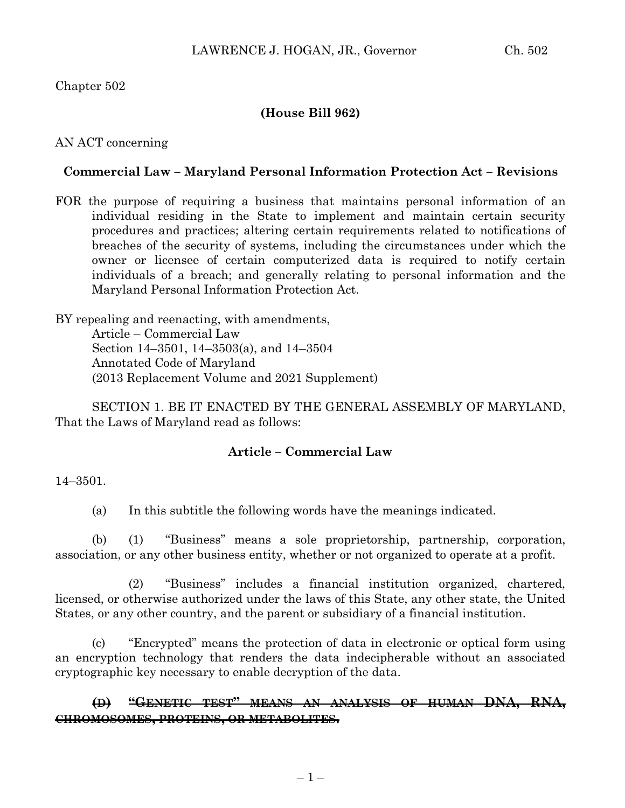## Chapter 502

## **(House Bill 962)**

#### AN ACT concerning

### **Commercial Law – Maryland Personal Information Protection Act – Revisions**

FOR the purpose of requiring a business that maintains personal information of an individual residing in the State to implement and maintain certain security procedures and practices; altering certain requirements related to notifications of breaches of the security of systems, including the circumstances under which the owner or licensee of certain computerized data is required to notify certain individuals of a breach; and generally relating to personal information and the Maryland Personal Information Protection Act.

BY repealing and reenacting, with amendments, Article – Commercial Law Section 14–3501, 14–3503(a), and 14–3504 Annotated Code of Maryland (2013 Replacement Volume and 2021 Supplement)

SECTION 1. BE IT ENACTED BY THE GENERAL ASSEMBLY OF MARYLAND, That the Laws of Maryland read as follows:

#### **Article – Commercial Law**

#### 14–3501.

(a) In this subtitle the following words have the meanings indicated.

(b) (1) "Business" means a sole proprietorship, partnership, corporation, association, or any other business entity, whether or not organized to operate at a profit.

(2) "Business" includes a financial institution organized, chartered, licensed, or otherwise authorized under the laws of this State, any other state, the United States, or any other country, and the parent or subsidiary of a financial institution.

(c) "Encrypted" means the protection of data in electronic or optical form using an encryption technology that renders the data indecipherable without an associated cryptographic key necessary to enable decryption of the data.

## **(D) "GENETIC TEST" MEANS AN ANALYSIS OF HUMAN DNA, RNA, CHROMOSOMES, PROTEINS, OR METABOLITES.**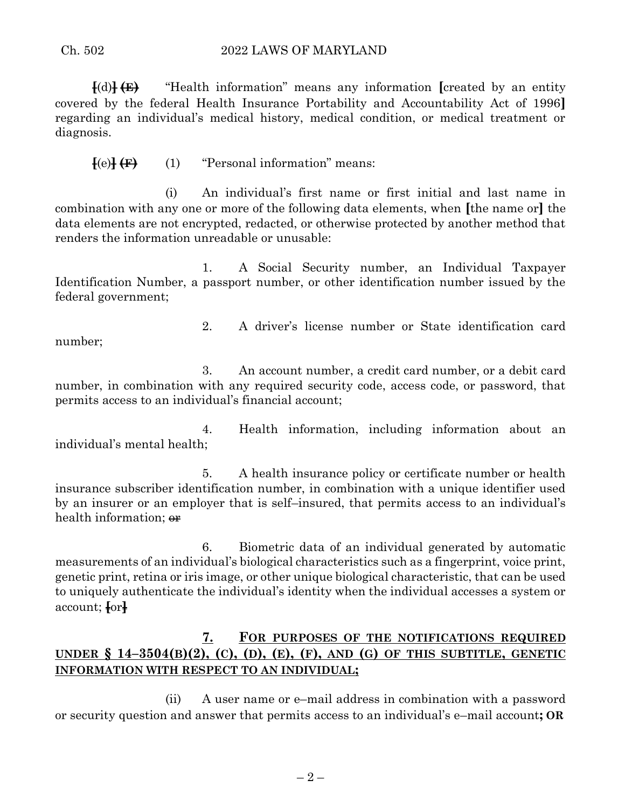#### Ch. 502 2022 LAWS OF MARYLAND

**[**(d)**] (E)** "Health information" means any information **[**created by an entity covered by the federal Health Insurance Portability and Accountability Act of 1996**]** regarding an individual's medical history, medical condition, or medical treatment or diagnosis.

 $\{e\}\left(\mathbf{F}\right)$  (1) "Personal information" means:

(i) An individual's first name or first initial and last name in combination with any one or more of the following data elements, when **[**the name or**]** the data elements are not encrypted, redacted, or otherwise protected by another method that renders the information unreadable or unusable:

1. A Social Security number, an Individual Taxpayer Identification Number, a passport number, or other identification number issued by the federal government;

number;

2. A driver's license number or State identification card

3. An account number, a credit card number, or a debit card number, in combination with any required security code, access code, or password, that permits access to an individual's financial account;

4. Health information, including information about an individual's mental health;

5. A health insurance policy or certificate number or health insurance subscriber identification number, in combination with a unique identifier used by an insurer or an employer that is self–insured, that permits access to an individual's health information;  $\Theta$ **r** 

6. Biometric data of an individual generated by automatic measurements of an individual's biological characteristics such as a fingerprint, voice print, genetic print, retina or iris image, or other unique biological characteristic, that can be used to uniquely authenticate the individual's identity when the individual accesses a system or account; **[**or**]**

# **7. FOR PURPOSES OF THE NOTIFICATIONS REQUIRED**  UNDER  $\S$  14-3504(B)(2), (C), (D), (E), (F), AND (G) OF THIS SUBTITLE, GENETIC **INFORMATION WITH RESPECT TO AN INDIVIDUAL;**

(ii) A user name or e–mail address in combination with a password or security question and answer that permits access to an individual's e–mail account**; OR**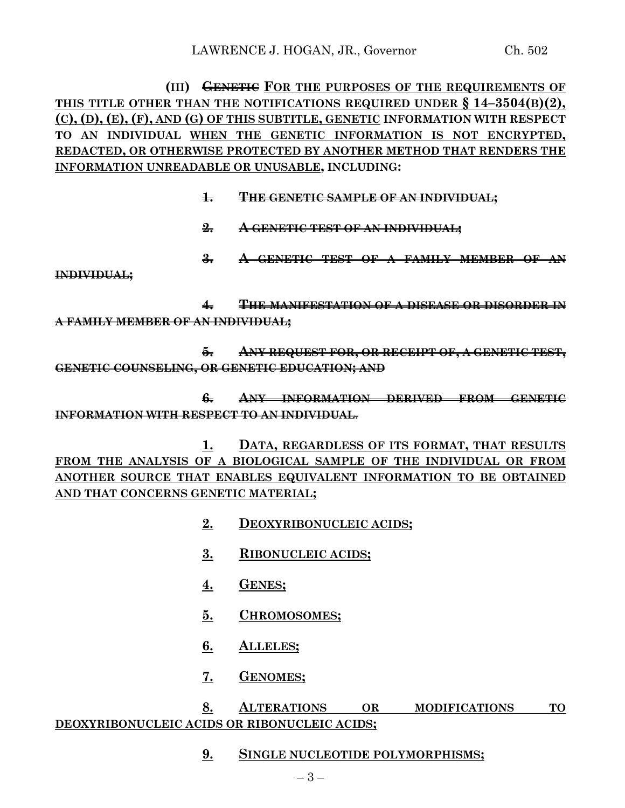**(III) GENETIC FOR THE PURPOSES OF THE REQUIREMENTS OF THIS TITLE OTHER THAN THE NOTIFICATIONS REQUIRED UNDER § 14–3504(B)(2), (C), (D), (E), (F), AND (G) OF THIS SUBTITLE, GENETIC INFORMATION WITH RESPECT TO AN INDIVIDUAL WHEN THE GENETIC INFORMATION IS NOT ENCRYPTED, REDACTED, OR OTHERWISE PROTECTED BY ANOTHER METHOD THAT RENDERS THE INFORMATION UNREADABLE OR UNUSABLE, INCLUDING:**

- **1. THE GENETIC SAMPLE OF AN INDIVIDUAL;**
- **2. A GENETIC TEST OF AN INDIVIDUAL;**
- **3. A GENETIC TEST OF A FAMILY MEMBER OF AN**

#### **INDIVIDUAL;**

**4. THE MANIFESTATION OF A DISEASE OR DISORDER IN A FAMILY MEMBER OF AN INDIVIDUAL;**

**5. ANY REQUEST FOR, OR RECEIPT OF, A GENETIC TEST, GENETIC COUNSELING, OR GENETIC EDUCATION; AND**

**6. ANY INFORMATION DERIVED FROM GENETIC INFORMATION WITH RESPECT TO AN INDIVIDUAL**.

**1. DATA, REGARDLESS OF ITS FORMAT, THAT RESULTS FROM THE ANALYSIS OF A BIOLOGICAL SAMPLE OF THE INDIVIDUAL OR FROM ANOTHER SOURCE THAT ENABLES EQUIVALENT INFORMATION TO BE OBTAINED AND THAT CONCERNS GENETIC MATERIAL;**

- **2. DEOXYRIBONUCLEIC ACIDS;**
- **3. RIBONUCLEIC ACIDS;**
- **4. GENES;**
- **5. CHROMOSOMES;**
- **6. ALLELES;**
- **7. GENOMES;**

## **8. ALTERATIONS OR MODIFICATIONS TO DEOXYRIBONUCLEIC ACIDS OR RIBONUCLEIC ACIDS;**

**9. SINGLE NUCLEOTIDE POLYMORPHISMS;**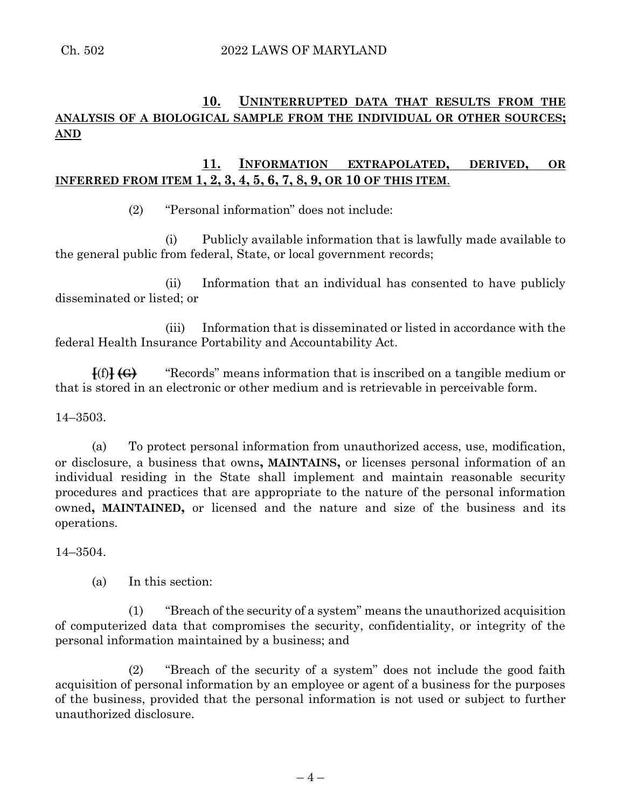# **10. UNINTERRUPTED DATA THAT RESULTS FROM THE ANALYSIS OF A BIOLOGICAL SAMPLE FROM THE INDIVIDUAL OR OTHER SOURCES; AND**

# **11. INFORMATION EXTRAPOLATED, DERIVED, OR INFERRED FROM ITEM 1, 2, 3, 4, 5, 6, 7, 8, 9, OR 10 OF THIS ITEM**.

(2) "Personal information" does not include:

(i) Publicly available information that is lawfully made available to the general public from federal, State, or local government records;

(ii) Information that an individual has consented to have publicly disseminated or listed; or

(iii) Information that is disseminated or listed in accordance with the federal Health Insurance Portability and Accountability Act.

**[**(f)**] (G)** "Records" means information that is inscribed on a tangible medium or that is stored in an electronic or other medium and is retrievable in perceivable form.

## 14–3503.

(a) To protect personal information from unauthorized access, use, modification, or disclosure, a business that owns**, MAINTAINS,** or licenses personal information of an individual residing in the State shall implement and maintain reasonable security procedures and practices that are appropriate to the nature of the personal information owned**, MAINTAINED,** or licensed and the nature and size of the business and its operations.

14–3504.

(a) In this section:

(1) "Breach of the security of a system" means the unauthorized acquisition of computerized data that compromises the security, confidentiality, or integrity of the personal information maintained by a business; and

(2) "Breach of the security of a system" does not include the good faith acquisition of personal information by an employee or agent of a business for the purposes of the business, provided that the personal information is not used or subject to further unauthorized disclosure.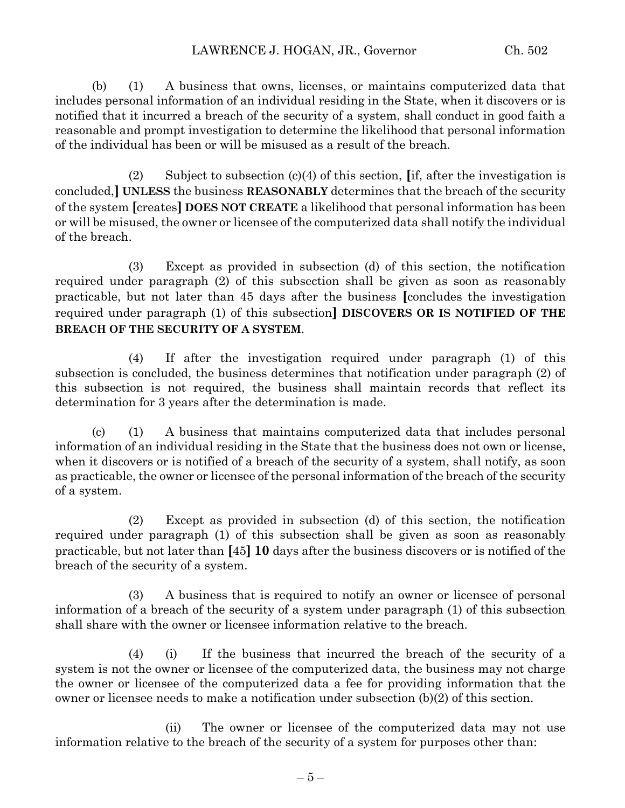(b) (1) A business that owns, licenses, or maintains computerized data that includes personal information of an individual residing in the State, when it discovers or is notified that it incurred a breach of the security of a system, shall conduct in good faith a reasonable and prompt investigation to determine the likelihood that personal information of the individual has been or will be misused as a result of the breach.

(2) Subject to subsection (c)(4) of this section, **[**if, after the investigation is concluded,**] UNLESS** the business **REASONABLY** determines that the breach of the security of the system **[**creates**] DOES NOT CREATE** a likelihood that personal information has been or will be misused, the owner or licensee of the computerized data shall notify the individual of the breach.

(3) Except as provided in subsection (d) of this section, the notification required under paragraph (2) of this subsection shall be given as soon as reasonably practicable, but not later than 45 days after the business **[**concludes the investigation required under paragraph (1) of this subsection**] DISCOVERS OR IS NOTIFIED OF THE BREACH OF THE SECURITY OF A SYSTEM**.

(4) If after the investigation required under paragraph (1) of this subsection is concluded, the business determines that notification under paragraph (2) of this subsection is not required, the business shall maintain records that reflect its determination for 3 years after the determination is made.

(c) (1) A business that maintains computerized data that includes personal information of an individual residing in the State that the business does not own or license, when it discovers or is notified of a breach of the security of a system, shall notify, as soon as practicable, the owner or licensee of the personal information of the breach of the security of a system.

(2) Except as provided in subsection (d) of this section, the notification required under paragraph (1) of this subsection shall be given as soon as reasonably practicable, but not later than **[**45**] 10** days after the business discovers or is notified of the breach of the security of a system.

(3) A business that is required to notify an owner or licensee of personal information of a breach of the security of a system under paragraph (1) of this subsection shall share with the owner or licensee information relative to the breach.

(4) (i) If the business that incurred the breach of the security of a system is not the owner or licensee of the computerized data, the business may not charge the owner or licensee of the computerized data a fee for providing information that the owner or licensee needs to make a notification under subsection (b)(2) of this section.

(ii) The owner or licensee of the computerized data may not use information relative to the breach of the security of a system for purposes other than: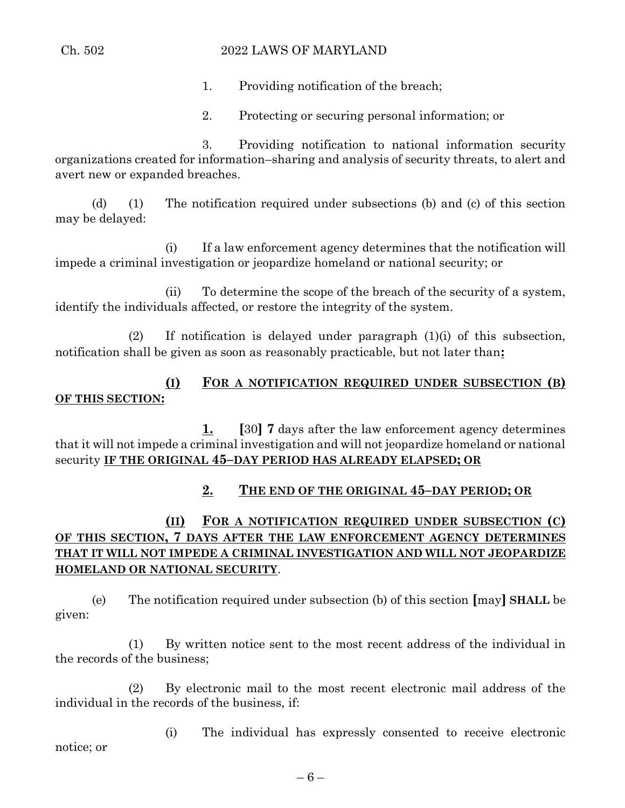## Ch. 502 2022 LAWS OF MARYLAND

1. Providing notification of the breach;

2. Protecting or securing personal information; or

3. Providing notification to national information security organizations created for information–sharing and analysis of security threats, to alert and avert new or expanded breaches.

(d) (1) The notification required under subsections (b) and (c) of this section may be delayed:

(i) If a law enforcement agency determines that the notification will impede a criminal investigation or jeopardize homeland or national security; or

(ii) To determine the scope of the breach of the security of a system, identify the individuals affected, or restore the integrity of the system.

(2) If notification is delayed under paragraph (1)(i) of this subsection, notification shall be given as soon as reasonably practicable, but not later than**:**

# **(I) FOR A NOTIFICATION REQUIRED UNDER SUBSECTION (B) OF THIS SECTION:**

**1. [**30**] 7** days after the law enforcement agency determines that it will not impede a criminal investigation and will not jeopardize homeland or national security **IF THE ORIGINAL 45–DAY PERIOD HAS ALREADY ELAPSED; OR** 

# **2. THE END OF THE ORIGINAL 45–DAY PERIOD; OR**

# **(II) FOR A NOTIFICATION REQUIRED UNDER SUBSECTION (C) OF THIS SECTION, 7 DAYS AFTER THE LAW ENFORCEMENT AGENCY DETERMINES THAT IT WILL NOT IMPEDE A CRIMINAL INVESTIGATION AND WILL NOT JEOPARDIZE HOMELAND OR NATIONAL SECURITY**.

(e) The notification required under subsection (b) of this section **[**may**] SHALL** be given:

(1) By written notice sent to the most recent address of the individual in the records of the business;

(2) By electronic mail to the most recent electronic mail address of the individual in the records of the business, if:

(i) The individual has expressly consented to receive electronic notice; or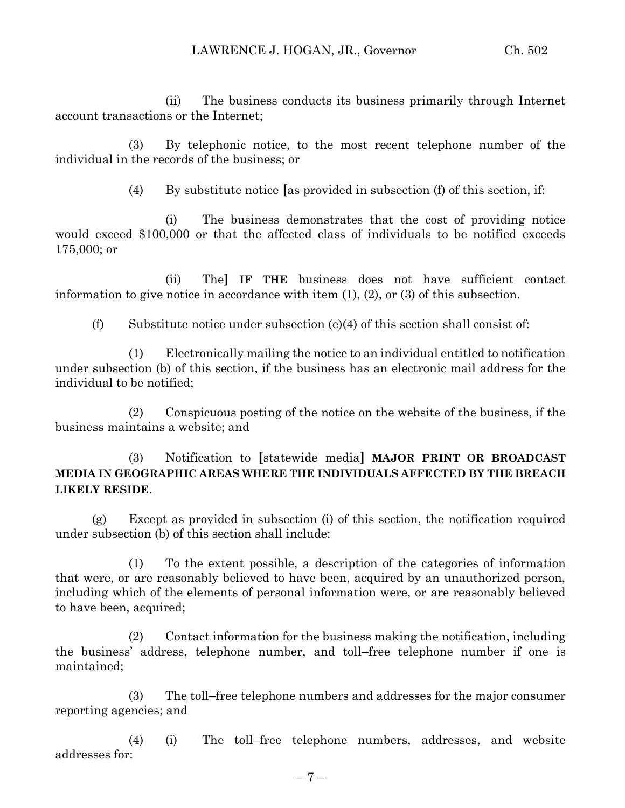(ii) The business conducts its business primarily through Internet account transactions or the Internet;

(3) By telephonic notice, to the most recent telephone number of the individual in the records of the business; or

(4) By substitute notice **[**as provided in subsection (f) of this section, if:

(i) The business demonstrates that the cost of providing notice would exceed \$100,000 or that the affected class of individuals to be notified exceeds 175,000; or

(ii) The**] IF THE** business does not have sufficient contact information to give notice in accordance with item (1), (2), or (3) of this subsection.

(f) Substitute notice under subsection (e)(4) of this section shall consist of:

(1) Electronically mailing the notice to an individual entitled to notification under subsection (b) of this section, if the business has an electronic mail address for the individual to be notified;

(2) Conspicuous posting of the notice on the website of the business, if the business maintains a website; and

# (3) Notification to **[**statewide media**] MAJOR PRINT OR BROADCAST MEDIA IN GEOGRAPHIC AREAS WHERE THE INDIVIDUALS AFFECTED BY THE BREACH LIKELY RESIDE**.

(g) Except as provided in subsection (i) of this section, the notification required under subsection (b) of this section shall include:

(1) To the extent possible, a description of the categories of information that were, or are reasonably believed to have been, acquired by an unauthorized person, including which of the elements of personal information were, or are reasonably believed to have been, acquired;

(2) Contact information for the business making the notification, including the business' address, telephone number, and toll–free telephone number if one is maintained;

(3) The toll–free telephone numbers and addresses for the major consumer reporting agencies; and

(4) (i) The toll–free telephone numbers, addresses, and website addresses for: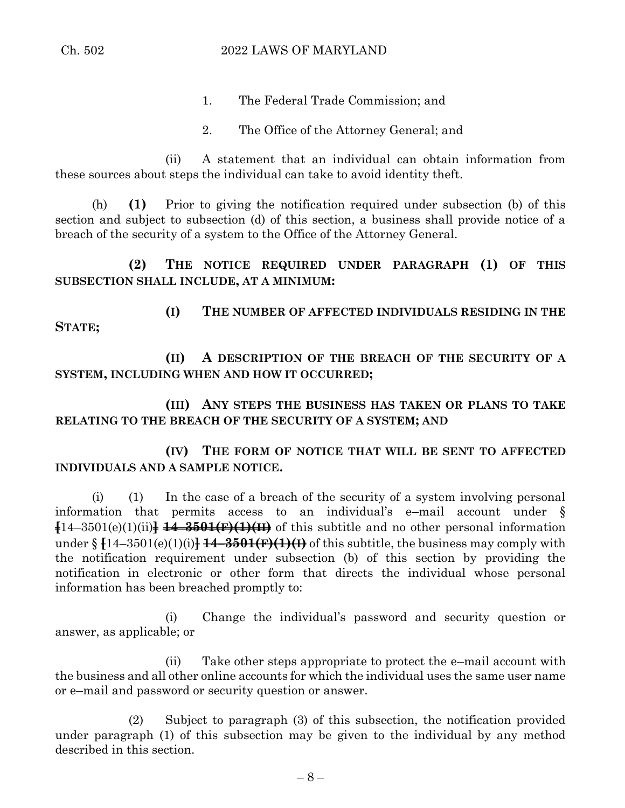- 1. The Federal Trade Commission; and
- 2. The Office of the Attorney General; and

(ii) A statement that an individual can obtain information from these sources about steps the individual can take to avoid identity theft.

(h) **(1)** Prior to giving the notification required under subsection (b) of this section and subject to subsection (d) of this section, a business shall provide notice of a breach of the security of a system to the Office of the Attorney General.

**(2) THE NOTICE REQUIRED UNDER PARAGRAPH (1) OF THIS SUBSECTION SHALL INCLUDE, AT A MINIMUM:**

**STATE;**

**(I) THE NUMBER OF AFFECTED INDIVIDUALS RESIDING IN THE** 

**(II) A DESCRIPTION OF THE BREACH OF THE SECURITY OF A SYSTEM, INCLUDING WHEN AND HOW IT OCCURRED;**

**(III) ANY STEPS THE BUSINESS HAS TAKEN OR PLANS TO TAKE RELATING TO THE BREACH OF THE SECURITY OF A SYSTEM; AND**

**(IV) THE FORM OF NOTICE THAT WILL BE SENT TO AFFECTED INDIVIDUALS AND A SAMPLE NOTICE.**

(i) (1) In the case of a breach of the security of a system involving personal information that permits access to an individual's e–mail account under § **[**14–3501(e)(1)(ii)**] 14–3501(F)(1)(II)** of this subtitle and no other personal information under § **[**14–3501(e)(1)(i)**] 14–3501(F)(1)(I)** of this subtitle, the business may comply with the notification requirement under subsection (b) of this section by providing the notification in electronic or other form that directs the individual whose personal information has been breached promptly to:

(i) Change the individual's password and security question or answer, as applicable; or

(ii) Take other steps appropriate to protect the e–mail account with the business and all other online accounts for which the individual uses the same user name or e–mail and password or security question or answer.

(2) Subject to paragraph (3) of this subsection, the notification provided under paragraph (1) of this subsection may be given to the individual by any method described in this section.